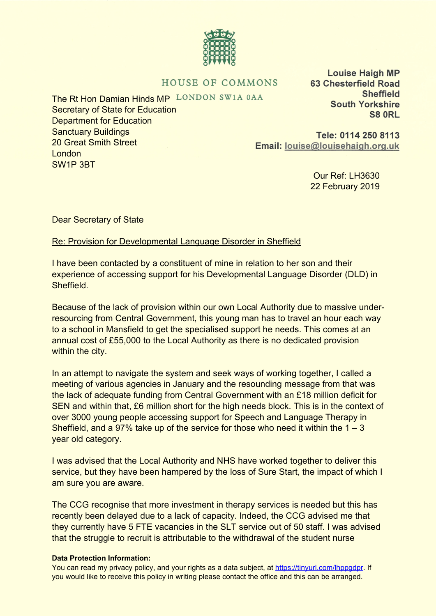## HOUSE OF COMMONS

The Rt Hon Damian Hinds MP LONDON SW1A 0AA Secretary of State for Education Department for Education Sanctuary Buildings 20 Great Smith Street **London** SW1P 3BT

**Louise Haigh MP 63 Chesterfield Road Sheffield South Yorkshire S8 ORL** 

Tele: 0114 250 8113 Email: louise@louisehaigh.org.uk

> Our Ref: LH3630 22 February 2019

Dear Secretary of State

Re: Provision for Developmental Language Disorder in Sheffield

I have been contacted by a constituent of mine in relation to her son and their experience of accessing support for his Developmental Language Disorder (DLD) in Sheffield.

Because of the lack of provision within our own Local Authority due to massive underresourcing from Central Government, this young man has to travel an hour each way to a school in Mansfield to get the specialised support he needs. This comes at an annual cost of £55,000 to the Local Authority as there is no dedicated provision within the city.

In an attempt to navigate the system and seek ways of working together, I called a meeting of various agencies in January and the resounding message from that was the lack of adequate funding from Central Government with an £18 million deficit for SEN and within that, £6 million short for the high needs block. This is in the context of over 3000 young people accessing support for Speech and Language Therapy in Sheffield, and a 97% take up of the service for those who need it within the  $1 - 3$ year old category.

I was advised that the Local Authority and NHS have worked together to deliver this service, but they have been hampered by the loss of Sure Start, the impact of which I am sure you are aware.

The CCG recognise that more investment in therapy services is needed but this has recently been delayed due to a lack of capacity. Indeed, the CCG advised me that they currently have 5 FTE vacancies in the SLT service out of 50 staff. I was advised that the struggle to recruit is attributable to the withdrawal of the student nurse

## **Data Protection Information:**

You can read my privacy policy, and your rights as a data subject, at<https://tinyurl.com/lhppgdpr>. If you would like to receive this policy in writing please contact the office and this can be arranged.